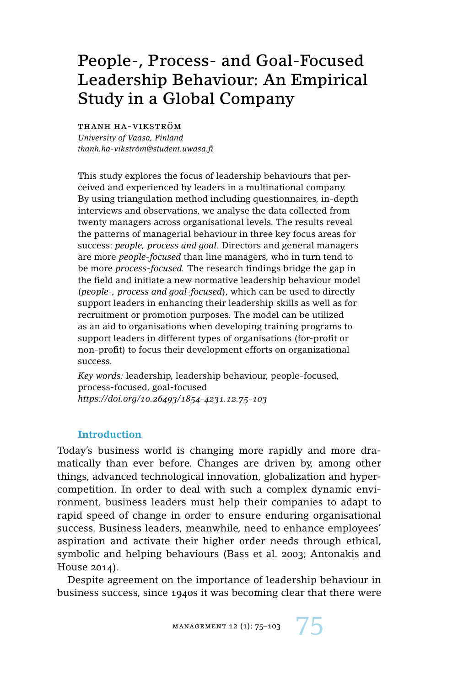# People-, Process- and Goal-Focused Leadership Behaviour: An Empirical Study in a Global Company

thanh ha-vikström

*University of Vaasa, Finland thanh.ha-vikström@student.uwasa.fi*

This study explores the focus of leadership behaviours that perceived and experienced by leaders in a multinational company. By using triangulation method including questionnaires, in-depth interviews and observations, we analyse the data collected from twenty managers across organisational levels. The results reveal the patterns of managerial behaviour in three key focus areas for success: *people, process and goal.* Directors and general managers are more *people-focused* than line managers, who in turn tend to be more *process-focused.* The research findings bridge the gap in the field and initiate a new normative leadership behaviour model (*people-, process and goal-focused*), which can be used to directly support leaders in enhancing their leadership skills as well as for recruitment or promotion purposes. The model can be utilized as an aid to organisations when developing training programs to support leaders in different types of organisations (for-profit or non-profit) to focus their development efforts on organizational success.

*Key words:* leadership, leadership behaviour, people-focused, process-focused, goal-focused *https://doi.org/10.26493/1854-4231.12.75-103*

# **Introduction**

Today's business world is changing more rapidly and more dramatically than ever before. Changes are driven by, among other things, advanced technological innovation, globalization and hypercompetition. In order to deal with such a complex dynamic environment, business leaders must help their companies to adapt to rapid speed of change in order to ensure enduring organisational success. Business leaders, meanwhile, need to enhance employees' aspiration and activate their higher order needs through ethical, symbolic and helping behaviours (Bass et al. 2003; Antonakis and House 2014).

Despite agreement on the importance of leadership behaviour in business success, since 1940s it was becoming clear that there were

MANAGEMENT 12 (1): 75-103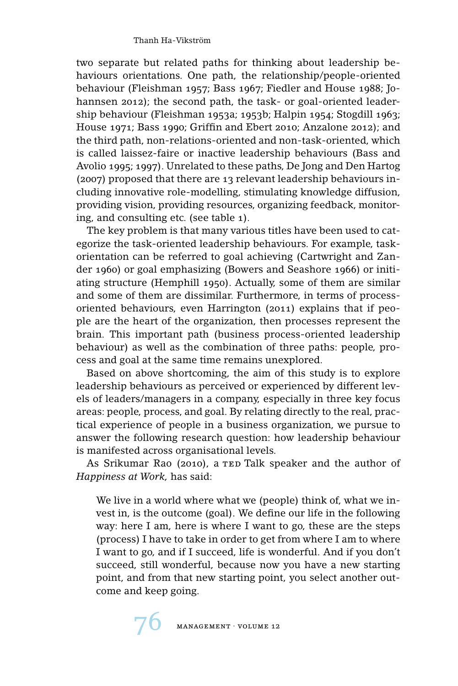two separate but related paths for thinking about leadership behaviours orientations. One path, the relationship/people-oriented behaviour (Fleishman 1957; Bass 1967; Fiedler and House 1988; Johannsen 2012); the second path, the task- or goal-oriented leadership behaviour (Fleishman 1953a; 1953b; Halpin 1954; Stogdill 1963; House 1971; Bass 1990; Griffin and Ebert 2010; Anzalone 2012); and the third path, non-relations-oriented and non-task-oriented, which is called laissez-faire or inactive leadership behaviours (Bass and Avolio 1995; 1997). Unrelated to these paths, De Jong and Den Hartog (2007) proposed that there are 13 relevant leadership behaviours including innovative role-modelling, stimulating knowledge diffusion, providing vision, providing resources, organizing feedback, monitoring, and consulting etc. (see table 1).

The key problem is that many various titles have been used to categorize the task-oriented leadership behaviours. For example, taskorientation can be referred to goal achieving (Cartwright and Zander 1960) or goal emphasizing (Bowers and Seashore 1966) or initiating structure (Hemphill 1950). Actually, some of them are similar and some of them are dissimilar. Furthermore, in terms of processoriented behaviours, even Harrington (2011) explains that if people are the heart of the organization, then processes represent the brain. This important path (business process-oriented leadership behaviour) as well as the combination of three paths: people, process and goal at the same time remains unexplored.

Based on above shortcoming, the aim of this study is to explore leadership behaviours as perceived or experienced by different levels of leaders/managers in a company, especially in three key focus areas: people, process, and goal. By relating directly to the real, practical experience of people in a business organization, we pursue to answer the following research question: how leadership behaviour is manifested across organisational levels.

As Srikumar Rao (2010), a TED Talk speaker and the author of *Happiness at Work,* has said:

We live in a world where what we (people) think of, what we invest in, is the outcome (goal). We define our life in the following way: here I am, here is where I want to go, these are the steps (process) I have to take in order to get from where I am to where I want to go, and if I succeed, life is wonderful. And if you don't succeed, still wonderful, because now you have a new starting point, and from that new starting point, you select another outcome and keep going.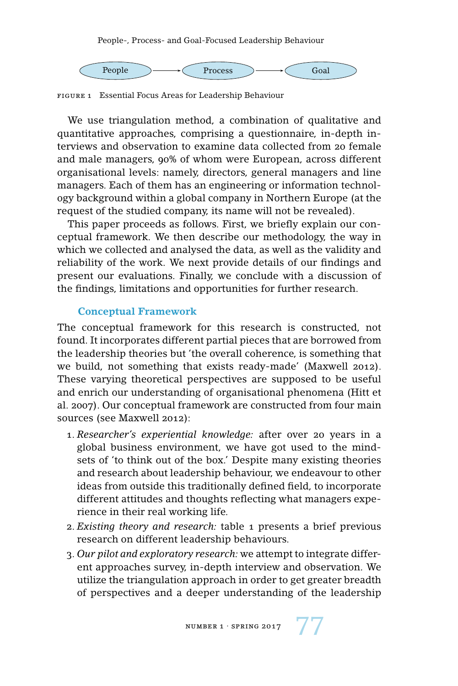

figure 1 Essential Focus Areas for Leadership Behaviour

We use triangulation method, a combination of qualitative and quantitative approaches, comprising a questionnaire, in-depth interviews and observation to examine data collected from 20 female and male managers, 90% of whom were European, across different organisational levels: namely, directors, general managers and line managers. Each of them has an engineering or information technology background within a global company in Northern Europe (at the request of the studied company, its name will not be revealed).

This paper proceeds as follows. First, we briefly explain our conceptual framework. We then describe our methodology, the way in which we collected and analysed the data, as well as the validity and reliability of the work. We next provide details of our findings and present our evaluations. Finally, we conclude with a discussion of the findings, limitations and opportunities for further research.

## **Conceptual Framework**

The conceptual framework for this research is constructed, not found. It incorporates different partial pieces that are borrowed from the leadership theories but 'the overall coherence, is something that we build, not something that exists ready-made' (Maxwell 2012). These varying theoretical perspectives are supposed to be useful and enrich our understanding of organisational phenomena (Hitt et al. 2007). Our conceptual framework are constructed from four main sources (see Maxwell 2012):

- 1. *Researcher's experiential knowledge:* after over 20 years in a global business environment, we have got used to the mindsets of 'to think out of the box.' Despite many existing theories and research about leadership behaviour, we endeavour to other ideas from outside this traditionally defined field, to incorporate different attitudes and thoughts reflecting what managers experience in their real working life.
- 2. *Existing theory and research:* table 1 presents a brief previous research on different leadership behaviours.
- 3. *Our pilot and exploratory research:* we attempt to integrate different approaches survey, in-depth interview and observation. We utilize the triangulation approach in order to get greater breadth of perspectives and a deeper understanding of the leadership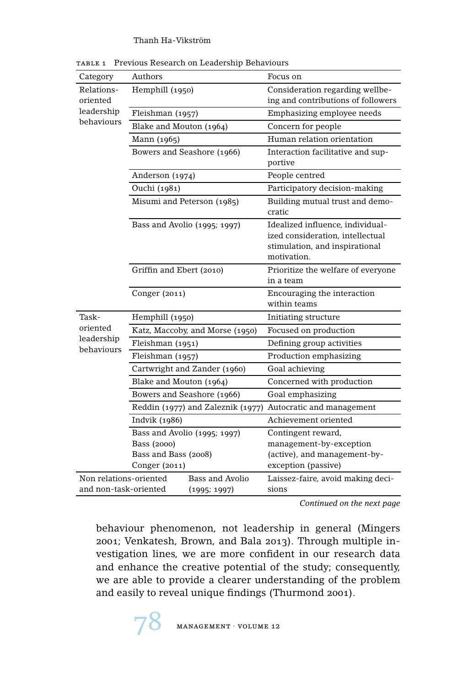| Category                 | Authors                           |                 | Focus on                                                                                                              |  |  |
|--------------------------|-----------------------------------|-----------------|-----------------------------------------------------------------------------------------------------------------------|--|--|
| Relations-<br>oriented   | Hemphill (1950)                   |                 | Consideration regarding wellbe-<br>ing and contributions of followers                                                 |  |  |
| leadership               | Fleishman (1957)                  |                 | Emphasizing employee needs                                                                                            |  |  |
| behaviours               | Blake and Mouton (1964)           |                 | Concern for people                                                                                                    |  |  |
|                          | Mann (1965)                       |                 | Human relation orientation                                                                                            |  |  |
|                          | Bowers and Seashore (1966)        |                 | Interaction facilitative and sup-<br>portive                                                                          |  |  |
|                          | Anderson (1974)                   |                 | People centred                                                                                                        |  |  |
|                          | Ouchi (1981)                      |                 | Participatory decision-making                                                                                         |  |  |
|                          | Misumi and Peterson (1985)        |                 | Building mutual trust and demo-<br>cratic                                                                             |  |  |
|                          | Bass and Avolio (1995; 1997)      |                 | Idealized influence, individual-<br>ized consideration, intellectual<br>stimulation, and inspirational<br>motivation. |  |  |
|                          | Griffin and Ebert (2010)          |                 | Prioritize the welfare of everyone<br>in a team                                                                       |  |  |
|                          | Conger $(2011)$                   |                 | Encouraging the interaction<br>within teams                                                                           |  |  |
| Task-                    | Hemphill (1950)                   |                 | Initiating structure                                                                                                  |  |  |
| oriented                 | Katz, Maccoby, and Morse (1950)   |                 | Focused on production                                                                                                 |  |  |
| leadership<br>behaviours | Fleishman (1951)                  |                 | Defining group activities                                                                                             |  |  |
|                          | Fleishman (1957)                  |                 | Production emphasizing                                                                                                |  |  |
|                          | Cartwright and Zander (1960)      |                 | Goal achieving                                                                                                        |  |  |
|                          | Blake and Mouton (1964)           |                 | Concerned with production                                                                                             |  |  |
|                          | Bowers and Seashore (1966)        |                 | Goal emphasizing                                                                                                      |  |  |
|                          | Reddin (1977) and Zaleznik (1977) |                 | Autocratic and management                                                                                             |  |  |
|                          | Indvik (1986)                     |                 | Achievement oriented                                                                                                  |  |  |
|                          | Bass and Avolio (1995; 1997)      |                 | Contingent reward,                                                                                                    |  |  |
|                          | Bass (2000)                       |                 | management-by-exception                                                                                               |  |  |
|                          | Bass and Bass (2008)              |                 | (active), and management-by-                                                                                          |  |  |
|                          | Conger (2011)                     |                 | exception (passive)                                                                                                   |  |  |
| Non relations-oriented   |                                   | Bass and Avolio | Laissez-faire, avoid making deci-                                                                                     |  |  |
| and non-task-oriented    | (1995; 1997)                      |                 | sions                                                                                                                 |  |  |

table 1 Previous Research on Leadership Behaviours

*Continued on the next page*

behaviour phenomenon, not leadership in general (Mingers 2001; Venkatesh, Brown, and Bala 2013). Through multiple investigation lines, we are more confident in our research data and enhance the creative potential of the study; consequently, we are able to provide a clearer understanding of the problem and easily to reveal unique findings (Thurmond 2001).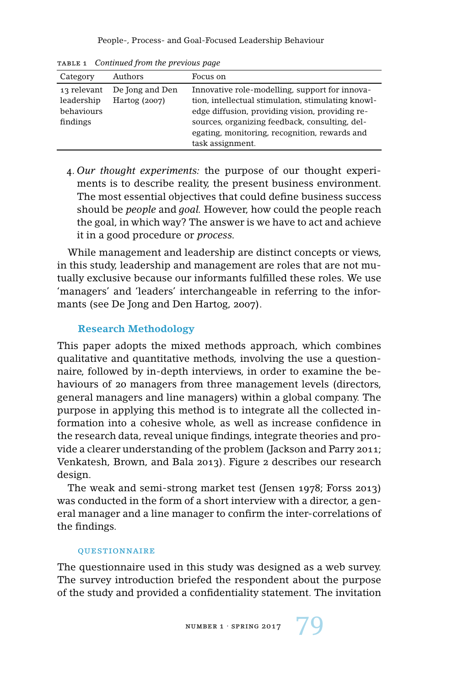| Category                                            | Authors                          | Focus on                                                                                                                                                                                                                                                                       |
|-----------------------------------------------------|----------------------------------|--------------------------------------------------------------------------------------------------------------------------------------------------------------------------------------------------------------------------------------------------------------------------------|
| 13 relevant<br>leadership<br>behaviours<br>findings | De Jong and Den<br>Hartog (2007) | Innovative role-modelling, support for innova-<br>tion, intellectual stimulation, stimulating knowl-<br>edge diffusion, providing vision, providing re-<br>sources, organizing feedback, consulting, del-<br>egating, monitoring, recognition, rewards and<br>task assignment. |

table 1 *Continued from the previous page*

4. *Our thought experiments:* the purpose of our thought experiments is to describe reality, the present business environment. The most essential objectives that could define business success should be *people* and *goal.* However, how could the people reach the goal, in which way? The answer is we have to act and achieve it in a good procedure or *process.*

While management and leadership are distinct concepts or views, in this study, leadership and management are roles that are not mutually exclusive because our informants fulfilled these roles. We use 'managers' and 'leaders' interchangeable in referring to the informants (see De Jong and Den Hartog, 2007).

# **Research Methodology**

This paper adopts the mixed methods approach, which combines qualitative and quantitative methods, involving the use a questionnaire, followed by in-depth interviews, in order to examine the behaviours of 20 managers from three management levels (directors, general managers and line managers) within a global company. The purpose in applying this method is to integrate all the collected information into a cohesive whole, as well as increase confidence in the research data, reveal unique findings, integrate theories and provide a clearer understanding of the problem (Jackson and Parry 2011; Venkatesh, Brown, and Bala 2013). Figure 2 describes our research design.

The weak and semi-strong market test (Jensen 1978; Forss 2013) was conducted in the form of a short interview with a director, a general manager and a line manager to confirm the inter-correlations of the findings.

## **QUESTIONNAIRE**

The questionnaire used in this study was designed as a web survey. The survey introduction briefed the respondent about the purpose of the study and provided a confidentiality statement. The invitation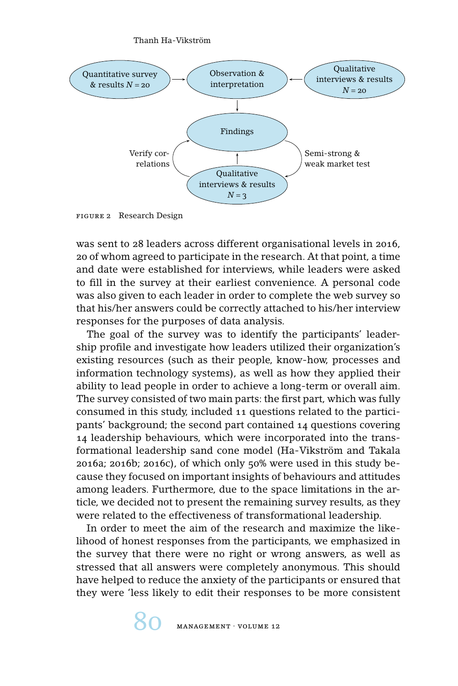

figure 2 Research Design

was sent to 28 leaders across different organisational levels in 2016, 20 of whom agreed to participate in the research. At that point, a time and date were established for interviews, while leaders were asked to fill in the survey at their earliest convenience. A personal code was also given to each leader in order to complete the web survey so that his/her answers could be correctly attached to his/her interview responses for the purposes of data analysis.

The goal of the survey was to identify the participants' leadership profile and investigate how leaders utilized their organization's existing resources (such as their people, know-how, processes and information technology systems), as well as how they applied their ability to lead people in order to achieve a long-term or overall aim. The survey consisted of two main parts: the first part, which was fully consumed in this study, included 11 questions related to the participants' background; the second part contained 14 questions covering 14 leadership behaviours, which were incorporated into the transformational leadership sand cone model (Ha-Vikström and Takala 2016a; 2016b; 2016c), of which only 50% were used in this study because they focused on important insights of behaviours and attitudes among leaders. Furthermore, due to the space limitations in the article, we decided not to present the remaining survey results, as they were related to the effectiveness of transformational leadership.

In order to meet the aim of the research and maximize the likelihood of honest responses from the participants, we emphasized in the survey that there were no right or wrong answers, as well as stressed that all answers were completely anonymous. This should have helped to reduce the anxiety of the participants or ensured that they were 'less likely to edit their responses to be more consistent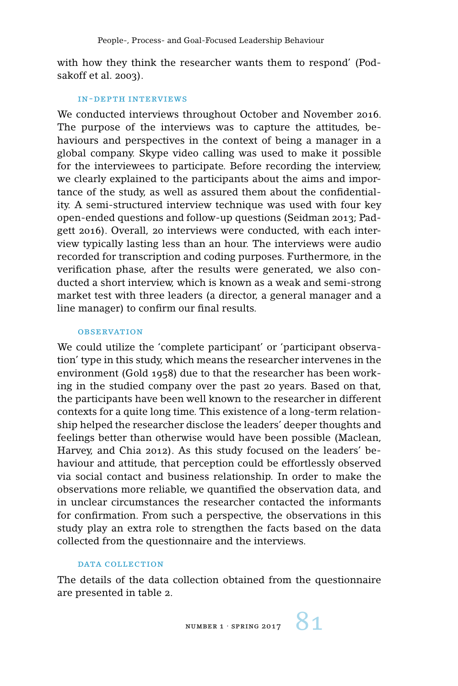with how they think the researcher wants them to respond' (Podsakoff et al. 2003).

#### in-depth interviews

We conducted interviews throughout October and November 2016. The purpose of the interviews was to capture the attitudes, behaviours and perspectives in the context of being a manager in a global company. Skype video calling was used to make it possible for the interviewees to participate. Before recording the interview, we clearly explained to the participants about the aims and importance of the study, as well as assured them about the confidentiality. A semi-structured interview technique was used with four key open-ended questions and follow-up questions (Seidman 2013; Padgett 2016). Overall, 20 interviews were conducted, with each interview typically lasting less than an hour. The interviews were audio recorded for transcription and coding purposes. Furthermore, in the verification phase, after the results were generated, we also conducted a short interview, which is known as a weak and semi-strong market test with three leaders (a director, a general manager and a line manager) to confirm our final results.

#### **OBSERVATION**

We could utilize the 'complete participant' or 'participant observation' type in this study, which means the researcher intervenes in the environment (Gold 1958) due to that the researcher has been working in the studied company over the past 20 years. Based on that, the participants have been well known to the researcher in different contexts for a quite long time. This existence of a long-term relationship helped the researcher disclose the leaders' deeper thoughts and feelings better than otherwise would have been possible (Maclean, Harvey, and Chia 2012). As this study focused on the leaders' behaviour and attitude, that perception could be effortlessly observed via social contact and business relationship. In order to make the observations more reliable, we quantified the observation data, and in unclear circumstances the researcher contacted the informants for confirmation. From such a perspective, the observations in this study play an extra role to strengthen the facts based on the data collected from the questionnaire and the interviews.

## DATA COLLECTION

The details of the data collection obtained from the questionnaire are presented in table 2.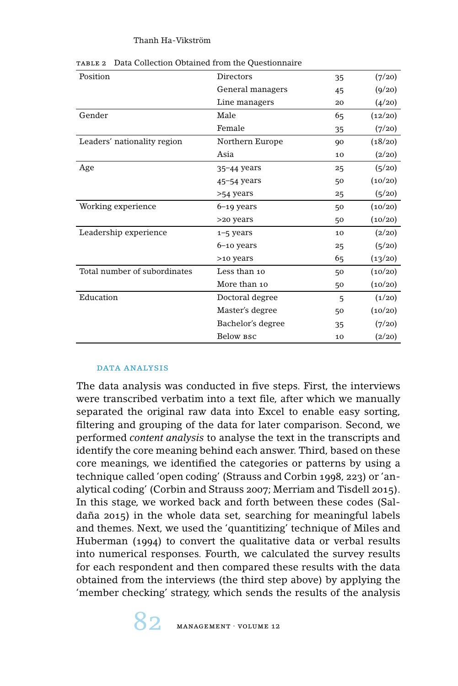| Position                     | Directors         | 35 | (7/20)  |
|------------------------------|-------------------|----|---------|
|                              | General managers  | 45 | (9/20)  |
|                              | Line managers     | 20 | (4/20)  |
| Gender                       | Male              | 65 | (12/20) |
|                              | Female            | 35 | (7/20)  |
| Leaders' nationality region  | Northern Europe   | 90 | (18/20) |
|                              | Asia              | 10 | (2/20)  |
| Age                          | $35 - 44$ years   | 25 | (5/20)  |
|                              | $45 - 54$ years   | 50 | (10/20) |
|                              | >54 years         | 25 | (5/20)  |
| Working experience           | $6-19$ years      | 50 | (10/20) |
|                              | >20 years         | 50 | (10/20) |
| Leadership experience        | $1 - 5$ years     | 10 | (2/20)  |
|                              | $6 - 10$ years    | 25 | (5/20)  |
|                              | >10 years         | 65 | (13/20) |
| Total number of subordinates | Less than 10      | 50 | (10/20) |
|                              | More than 10      | 50 | (10/20) |
| Education                    | Doctoral degree   | 5  | (1/20)  |
|                              | Master's degree   | 50 | (10/20) |
|                              | Bachelor's degree | 35 | (7/20)  |
|                              | Below BSC         | 10 | (2/20)  |

table 2 Data Collection Obtained from the Questionnaire

#### data analysis

The data analysis was conducted in five steps. First, the interviews were transcribed verbatim into a text file, after which we manually separated the original raw data into Excel to enable easy sorting, filtering and grouping of the data for later comparison. Second, we performed *content analysis* to analyse the text in the transcripts and identify the core meaning behind each answer. Third, based on these core meanings, we identified the categories or patterns by using a technique called 'open coding' (Strauss and Corbin 1998, 223) or 'analytical coding' (Corbin and Strauss 2007; Merriam and Tisdell 2015). In this stage, we worked back and forth between these codes (Saldaña 2015) in the whole data set, searching for meaningful labels and themes. Next, we used the 'quantitizing' technique of Miles and Huberman (1994) to convert the qualitative data or verbal results into numerical responses. Fourth, we calculated the survey results for each respondent and then compared these results with the data obtained from the interviews (the third step above) by applying the 'member checking' strategy, which sends the results of the analysis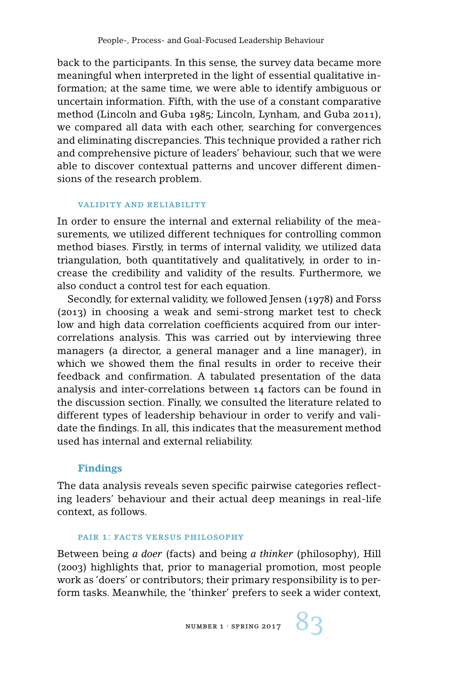back to the participants. In this sense, the survey data became more meaningful when interpreted in the light of essential qualitative information; at the same time, we were able to identify ambiguous or uncertain information. Fifth, with the use of a constant comparative method (Lincoln and Guba 1985; Lincoln, Lynham, and Guba 2011), we compared all data with each other, searching for convergences and eliminating discrepancies. This technique provided a rather rich and comprehensive picture of leaders' behaviour, such that we were able to discover contextual patterns and uncover different dimensions of the research problem.

#### validity and reliability

In order to ensure the internal and external reliability of the measurements, we utilized different techniques for controlling common method biases. Firstly, in terms of internal validity, we utilized data triangulation, both quantitatively and qualitatively, in order to increase the credibility and validity of the results. Furthermore, we also conduct a control test for each equation.

Secondly, for external validity, we followed Jensen (1978) and Forss (2013) in choosing a weak and semi-strong market test to check low and high data correlation coefficients acquired from our intercorrelations analysis. This was carried out by interviewing three managers (a director, a general manager and a line manager), in which we showed them the final results in order to receive their feedback and confirmation. A tabulated presentation of the data analysis and inter-correlations between 14 factors can be found in the discussion section. Finally, we consulted the literature related to different types of leadership behaviour in order to verify and validate the findings. In all, this indicates that the measurement method used has internal and external reliability.

## **Findings**

The data analysis reveals seven specific pairwise categories reflecting leaders' behaviour and their actual deep meanings in real-life context, as follows.

#### pair 1: facts versus philosophy

Between being *a doer* (facts) and being *a thinker* (philosophy), Hill (2003) highlights that, prior to managerial promotion, most people work as 'doers' or contributors; their primary responsibility is to perform tasks. Meanwhile, the 'thinker' prefers to seek a wider context,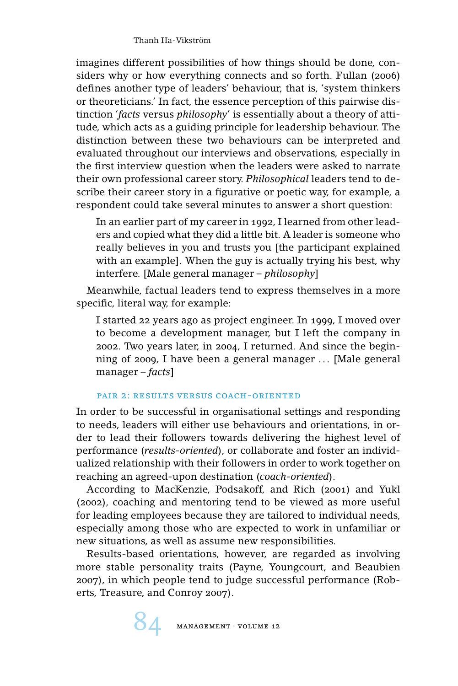imagines different possibilities of how things should be done, considers why or how everything connects and so forth. Fullan (2006) defines another type of leaders' behaviour, that is, 'system thinkers or theoreticians.' In fact, the essence perception of this pairwise distinction '*facts* versus *philosophy*' is essentially about a theory of attitude, which acts as a guiding principle for leadership behaviour. The distinction between these two behaviours can be interpreted and evaluated throughout our interviews and observations, especially in the first interview question when the leaders were asked to narrate their own professional career story. *Philosophical* leaders tend to describe their career story in a figurative or poetic way, for example, a respondent could take several minutes to answer a short question:

In an earlier part of my career in 1992, I learned from other leaders and copied what they did a little bit. A leader is someone who really believes in you and trusts you [the participant explained with an example]. When the guy is actually trying his best, why interfere. [Male general manager – *philosophy*]

Meanwhile, factual leaders tend to express themselves in a more specific, literal way, for example:

I started 22 years ago as project engineer. In 1999, I moved over to become a development manager, but I left the company in 2002. Two years later, in 2004, I returned. And since the beginning of 2009, I have been a general manager ... [Male general manager – *facts*]

# pair 2: results versus coach-oriented

In order to be successful in organisational settings and responding to needs, leaders will either use behaviours and orientations, in order to lead their followers towards delivering the highest level of performance (*results-oriented*), or collaborate and foster an individualized relationship with their followers in order to work together on reaching an agreed-upon destination (*coach-oriented*).

According to MacKenzie, Podsakoff, and Rich (2001) and Yukl (2002), coaching and mentoring tend to be viewed as more useful for leading employees because they are tailored to individual needs, especially among those who are expected to work in unfamiliar or new situations, as well as assume new responsibilities.

Results-based orientations, however, are regarded as involving more stable personality traits (Payne, Youngcourt, and Beaubien 2007), in which people tend to judge successful performance (Roberts, Treasure, and Conroy 2007).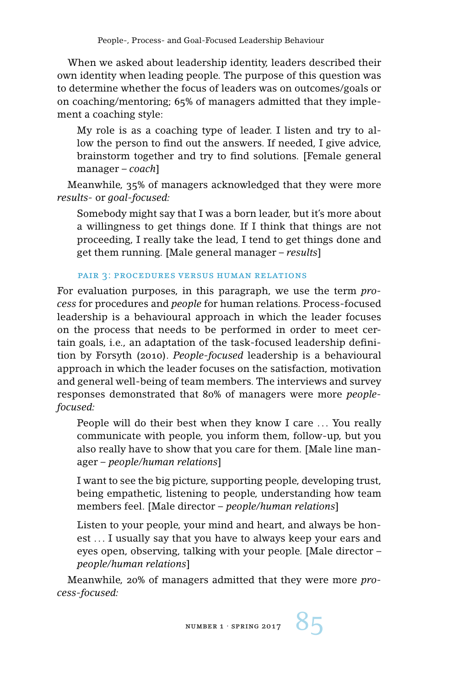When we asked about leadership identity, leaders described their own identity when leading people. The purpose of this question was to determine whether the focus of leaders was on outcomes/goals or on coaching/mentoring; 65% of managers admitted that they implement a coaching style:

My role is as a coaching type of leader. I listen and try to allow the person to find out the answers. If needed, I give advice, brainstorm together and try to find solutions. [Female general manager – *coach*]

Meanwhile, 35% of managers acknowledged that they were more *results-* or *goal-focused:*

Somebody might say that I was a born leader, but it's more about a willingness to get things done. If I think that things are not proceeding, I really take the lead, I tend to get things done and get them running. [Male general manager – *results*]

## pair 3: procedures versus human relations

For evaluation purposes, in this paragraph, we use the term *process* for procedures and *people* for human relations. Process-focused leadership is a behavioural approach in which the leader focuses on the process that needs to be performed in order to meet certain goals, i.e., an adaptation of the task-focused leadership definition by Forsyth (2010). *People-focused* leadership is a behavioural approach in which the leader focuses on the satisfaction, motivation and general well-being of team members. The interviews and survey responses demonstrated that 80% of managers were more *peoplefocused:*

People will do their best when they know I care ... You really communicate with people, you inform them, follow-up, but you also really have to show that you care for them. [Male line manager – *people/human relations*]

I want to see the big picture, supporting people, developing trust, being empathetic, listening to people, understanding how team members feel. [Male director – *people/human relations*]

Listen to your people, your mind and heart, and always be honest ... I usually say that you have to always keep your ears and eyes open, observing, talking with your people. [Male director – *people/human relations*]

Meanwhile, 20% of managers admitted that they were more *process-focused:*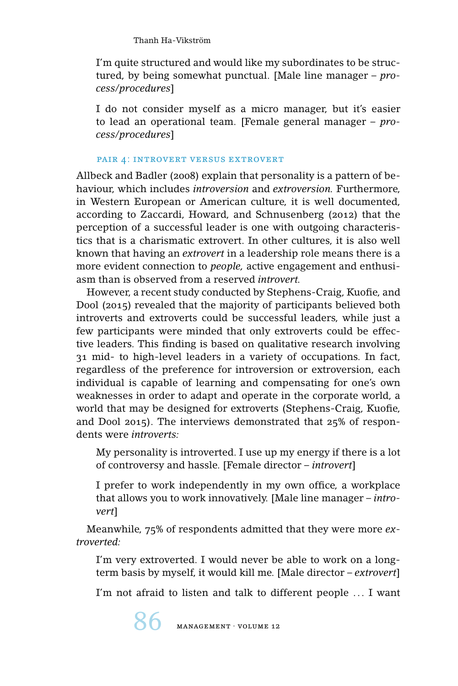I'm quite structured and would like my subordinates to be structured, by being somewhat punctual. [Male line manager – *process/procedures*]

I do not consider myself as a micro manager, but it's easier to lead an operational team. [Female general manager – *process/procedures*]

## pair 4: introvert versus extrovert

Allbeck and Badler (2008) explain that personality is a pattern of behaviour, which includes *introversion* and *extroversion.* Furthermore, in Western European or American culture, it is well documented, according to Zaccardi, Howard, and Schnusenberg (2012) that the perception of a successful leader is one with outgoing characteristics that is a charismatic extrovert. In other cultures, it is also well known that having an *extrovert* in a leadership role means there is a more evident connection to *people,* active engagement and enthusiasm than is observed from a reserved *introvert.*

However, a recent study conducted by Stephens-Craig, Kuofie, and Dool (2015) revealed that the majority of participants believed both introverts and extroverts could be successful leaders, while just a few participants were minded that only extroverts could be effective leaders. This finding is based on qualitative research involving 31 mid- to high-level leaders in a variety of occupations. In fact, regardless of the preference for introversion or extroversion, each individual is capable of learning and compensating for one's own weaknesses in order to adapt and operate in the corporate world, a world that may be designed for extroverts (Stephens-Craig, Kuofie, and Dool 2015). The interviews demonstrated that 25% of respondents were *introverts:*

My personality is introverted. I use up my energy if there is a lot of controversy and hassle. [Female director – *introvert*]

I prefer to work independently in my own office, a workplace that allows you to work innovatively. [Male line manager – *introvert*]

Meanwhile, 75% of respondents admitted that they were more *extroverted:*

I'm very extroverted. I would never be able to work on a longterm basis by myself, it would kill me. [Male director – *extrovert*]

I'm not afraid to listen and talk to different people ... I want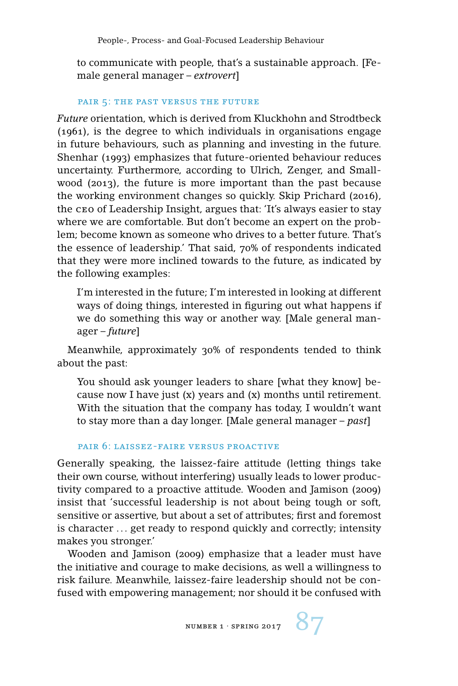to communicate with people, that's a sustainable approach. [Female general manager – *extrovert*]

#### pair 5: the past versus the future

*Future* orientation, which is derived from Kluckhohn and Strodtbeck (1961), is the degree to which individuals in organisations engage in future behaviours, such as planning and investing in the future. Shenhar (1993) emphasizes that future-oriented behaviour reduces uncertainty. Furthermore, according to Ulrich, Zenger, and Smallwood (2013), the future is more important than the past because the working environment changes so quickly. Skip Prichard (2016), the ceo of Leadership Insight, argues that: 'It's always easier to stay where we are comfortable. But don't become an expert on the problem; become known as someone who drives to a better future. That's the essence of leadership.' That said, 70% of respondents indicated that they were more inclined towards to the future, as indicated by the following examples:

I'm interested in the future; I'm interested in looking at different ways of doing things, interested in figuring out what happens if we do something this way or another way. [Male general manager – *future*]

Meanwhile, approximately 30% of respondents tended to think about the past:

You should ask younger leaders to share [what they know] because now I have just (x) years and (x) months until retirement. With the situation that the company has today, I wouldn't want to stay more than a day longer. [Male general manager – *past*]

## pair 6: laissez-faire versus proactive

Generally speaking, the laissez-faire attitude (letting things take their own course, without interfering) usually leads to lower productivity compared to a proactive attitude. Wooden and Jamison (2009) insist that 'successful leadership is not about being tough or soft, sensitive or assertive, but about a set of attributes; first and foremost is character ... get ready to respond quickly and correctly; intensity makes you stronger.'

Wooden and Jamison (2009) emphasize that a leader must have the initiative and courage to make decisions, as well a willingness to risk failure. Meanwhile, laissez-faire leadership should not be confused with empowering management; nor should it be confused with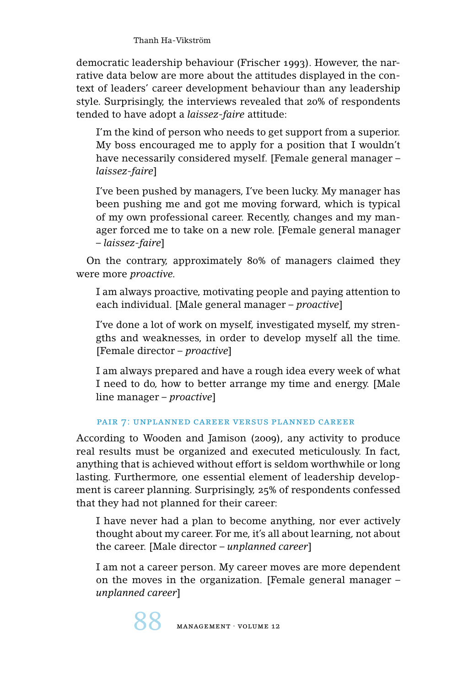democratic leadership behaviour (Frischer 1993). However, the narrative data below are more about the attitudes displayed in the context of leaders' career development behaviour than any leadership style. Surprisingly, the interviews revealed that 20% of respondents tended to have adopt a *laissez-faire* attitude:

I'm the kind of person who needs to get support from a superior. My boss encouraged me to apply for a position that I wouldn't have necessarily considered myself. [Female general manager – *laissez-faire*]

I've been pushed by managers, I've been lucky. My manager has been pushing me and got me moving forward, which is typical of my own professional career. Recently, changes and my manager forced me to take on a new role. [Female general manager – *laissez-faire*]

On the contrary, approximately 80% of managers claimed they were more *proactive.*

I am always proactive, motivating people and paying attention to each individual. [Male general manager – *proactive*]

I've done a lot of work on myself, investigated myself, my strengths and weaknesses, in order to develop myself all the time. [Female director – *proactive*]

I am always prepared and have a rough idea every week of what I need to do, how to better arrange my time and energy. [Male line manager – *proactive*]

# pair 7: unplanned career versus planned career

According to Wooden and Jamison (2009), any activity to produce real results must be organized and executed meticulously. In fact, anything that is achieved without effort is seldom worthwhile or long lasting. Furthermore, one essential element of leadership development is career planning. Surprisingly, 25% of respondents confessed that they had not planned for their career:

I have never had a plan to become anything, nor ever actively thought about my career. For me, it's all about learning, not about the career. [Male director – *unplanned career*]

I am not a career person. My career moves are more dependent on the moves in the organization. [Female general manager – *unplanned career*]

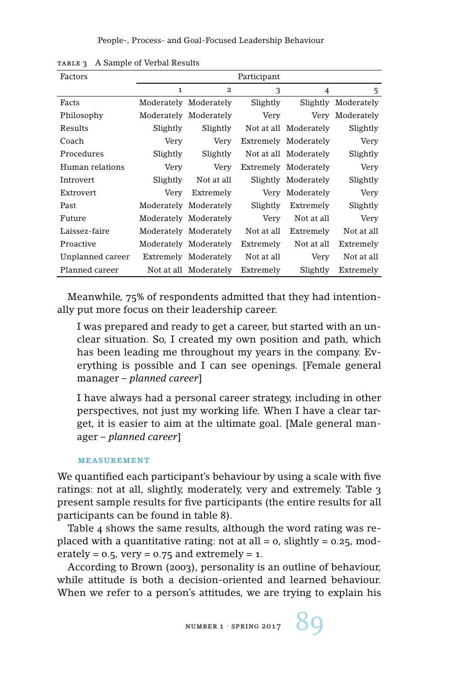People-, Process- and Goal-Focused Leadership Behaviour

| Factors          |              |                       | Participant |                       |                     |
|------------------|--------------|-----------------------|-------------|-----------------------|---------------------|
|                  | $\mathbf{1}$ | $\mathbf{2}$          | 3           | 4                     | 5                   |
| Facts            |              | Moderately Moderately | Slightly    |                       | Slightly Moderately |
| Philosophy       |              | Moderately Moderately | Very        | Very                  | Moderately          |
| Results          | Slightly     | Slightly              |             | Not at all Moderately | Slightly            |
| Coach            | Very         | Very                  |             | Extremely Moderately  | Very                |
| Procedures       | Slightly     | Slightly              |             | Not at all Moderately | Slightly            |
| Human relations  | Very         | Very                  |             | Extremely Moderately  | Very                |
| Introvert        | Slightly     | Not at all            |             | Slightly Moderately   | Slightly            |
| Extrovert        | Very         | Extremely             |             | Very Moderately       | Very                |
| Past             |              | Moderately Moderately | Slightly    | Extremely             | Slightly            |
| Future           |              | Moderately Moderately | Very        | Not at all            | Very                |
| Laissez-faire    |              | Moderately Moderately | Not at all  | Extremely             | Not at all          |
| Proactive        |              | Moderately Moderately | Extremely   | Not at all            | Extremely           |
| Unplanned career |              | Extremely Moderately  | Not at all  | Very                  | Not at all          |
| Planned career   |              | Not at all Moderately | Extremely   | Slightly              | Extremely           |

TABLE 3 A Sample of Verbal Results

Meanwhile, 75% of respondents admitted that they had intentionally put more focus on their leadership career.

I was prepared and ready to get a career, but started with an unclear situation. So, I created my own position and path, which has been leading me throughout my years in the company. Everything is possible and I can see openings. [Female general manager – *planned career*]

I have always had a personal career strategy, including in other perspectives, not just my working life. When I have a clear target, it is easier to aim at the ultimate goal. [Male general manager – *planned career*]

#### measurement

We quantified each participant's behaviour by using a scale with five ratings: not at all, slightly, moderately, very and extremely. Table 3 present sample results for five participants (the entire results for all participants can be found in table 8).

Table 4 shows the same results, although the word rating was replaced with a quantitative rating: not at all =  $\sigma$ , slightly =  $\sigma$ . 25, moderately =  $0.5$ , very =  $0.75$  and extremely = 1.

According to Brown (2003), personality is an outline of behaviour, while attitude is both a decision-oriented and learned behaviour. When we refer to a person's attitudes, we are trying to explain his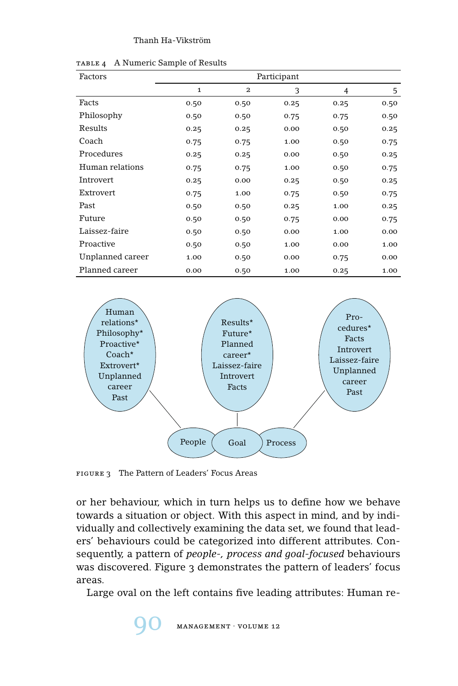| Factors          |             |                         | Participant |      |      |
|------------------|-------------|-------------------------|-------------|------|------|
|                  | $\mathbf 1$ | $\overline{\mathbf{2}}$ | 3           | 4    | 5    |
| Facts            | 0.50        | 0.50                    | 0.25        | 0.25 | 0.50 |
| Philosophy       | 0.50        | 0.50                    | 0.75        | 0.75 | 0.50 |
| Results          | 0.25        | 0.25                    | 0.00        | 0.50 | 0.25 |
| Coach            | 0.75        | 0.75                    | 1.00        | 0.50 | 0.75 |
| Procedures       | 0.25        | 0.25                    | 0.00        | 0.50 | 0.25 |
| Human relations  | 0.75        | 0.75                    | 1.00        | 0.50 | 0.75 |
| Introvert        | 0.25        | 0.00                    | 0.25        | 0.50 | 0.25 |
| Extrovert        | 0.75        | 1.00                    | 0.75        | 0.50 | 0.75 |
| Past             | 0.50        | 0.50                    | 0.25        | 1.00 | 0.25 |
| Future           | 0.50        | 0.50                    | 0.75        | 0.00 | 0.75 |
| Laissez-faire    | 0.50        | 0.50                    | 0.00        | 1.00 | 0.00 |
| Proactive        | 0.50        | 0.50                    | 1.00        | 0.00 | 1.00 |
| Unplanned career | 1.00        | 0.50                    | 0.00        | 0.75 | 0.00 |
| Planned career   | 0.00        | 0.50                    | 1.00        | 0.25 | 1.00 |

table 4 A Numeric Sample of Results



figure 3 The Pattern of Leaders' Focus Areas

or her behaviour, which in turn helps us to define how we behave towards a situation or object. With this aspect in mind, and by individually and collectively examining the data set, we found that leaders' behaviours could be categorized into different attributes. Consequently, a pattern of *people-, process and goal-focused* behaviours was discovered. Figure 3 demonstrates the pattern of leaders' focus areas.

Large oval on the left contains five leading attributes: Human re-

 $MANAGEMENT \cdot VOLUME 12$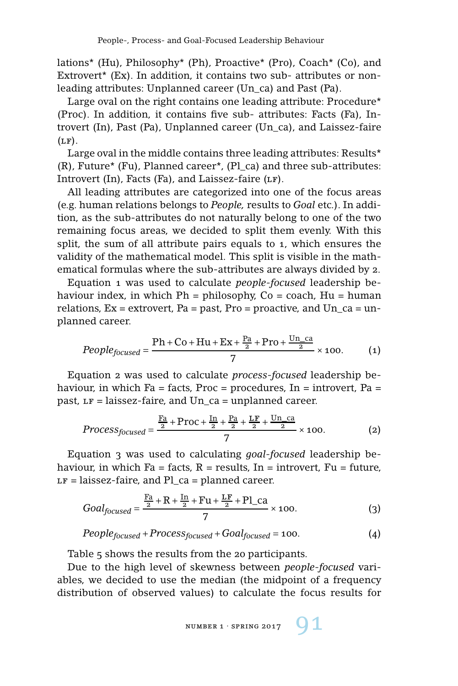lations\* (Hu), Philosophy\* (Ph), Proactive\* (Pro), Coach\* (Co), and Extrovert\* (Ex). In addition, it contains two sub- attributes or nonleading attributes: Unplanned career (Un\_ca) and Past (Pa).

Large oval on the right contains one leading attribute: Procedure\* (Proc). In addition, it contains five sub- attributes: Facts (Fa), Introvert (In), Past (Pa), Unplanned career (Un\_ca), and Laissez-faire  $(LF)$ .

Large oval in the middle contains three leading attributes: Results<sup>\*</sup> (R), Future\* (Fu), Planned career\*, (Pl\_ca) and three sub-attributes: Introvert  $(In)$ , Facts  $(Fa)$ , and Laissez-faire  $(LF)$ .

All leading attributes are categorized into one of the focus areas (e.g. human relations belongs to *People,* results to *Goal* etc.). In addition, as the sub-attributes do not naturally belong to one of the two remaining focus areas, we decided to split them evenly. With this split, the sum of all attribute pairs equals to 1, which ensures the validity of the mathematical model. This split is visible in the mathematical formulas where the sub-attributes are always divided by 2.

Equation 1 was used to calculate *people-focused* leadership behaviour index, in which  $Ph =$  philosophy,  $Co =$  coach,  $Hu =$  human relations,  $Ex =$  extrovert,  $Pa =$  past,  $Pro =$  proactive, and  $Un\_ca =$  unplanned career.

$$
People_{focused} = \frac{\text{Ph} + \text{Co} + \text{Hu} + \text{Ex} + \frac{\text{Pa}}{2} + \text{Pro} + \frac{\text{Un\_ca}}{2}}{7} \times 100. \tag{1}
$$

Equation 2 was used to calculate *process-focused* leadership behaviour, in which  $Fa = facts$ ,  $Proc = procedures$ ,  $In = introductory$ ,  $Pa =$ past,  $LF = laissez-faire$ , and  $Un-ca = unplanned career$ .

$$
Process_{focused} = \frac{\frac{Fa}{2} + Proc + \frac{In}{2} + \frac{Pa}{2} + \frac{LF}{2} + \frac{Un\_ca}{2}}{7} \times 100.
$$
 (2)

Equation 3 was used to calculating *goal-focused* leadership behaviour, in which  $Fa = facts$ ,  $R = results$ ,  $In =$  introvert,  $Fu = future$ ,  $LF = laissez-faire$ , and Pl\_ca = planned career.

$$
Goal_{focused} = \frac{\frac{Fa}{2} + R + \frac{In}{2} + Fu + \frac{LF}{2} + Pl\_{ca}}{7} \times 100.
$$
 (3)

$$
People_{focused} + Process_{focused} + Goal_{focused} = 100.
$$
\n(4)

Table 5 shows the results from the 20 participants.

Due to the high level of skewness between *people-focused* variables, we decided to use the median (the midpoint of a frequency distribution of observed values) to calculate the focus results for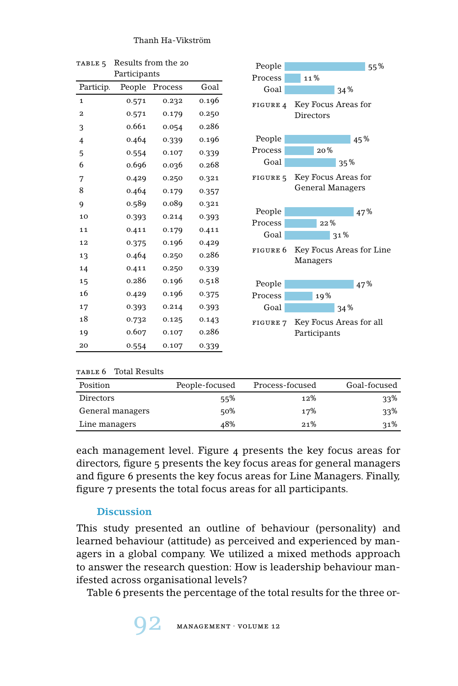| TABLE <sub>5</sub>      |              | Results from the 20 |       |  |
|-------------------------|--------------|---------------------|-------|--|
|                         | Participants |                     |       |  |
| Particip.               | People       | Process             | Goal  |  |
| $\mathbf{1}$            | 0.571        | 0.232               | 0.196 |  |
| $\overline{\mathbf{2}}$ | 0.571        | 0.179               | 0.250 |  |
| 3                       | 0.661        | 0.054               | 0.286 |  |
| $\overline{4}$          | 0.464        | 0.339               | 0.196 |  |
| 5                       | 0.554        | 0.107               | 0.339 |  |
| 6                       | 0.696        | 0.036               | 0.268 |  |
| 7                       | 0.429        | 0.250               | 0.321 |  |
| 8                       | 0.464        | 0.179               | 0.357 |  |
| 9                       | 0.589        | 0.089               | 0.321 |  |
| 10                      | 0.393        | 0.214               | 0.393 |  |
| 11                      | 0.411        | 0.179               | 0.411 |  |
| 12                      | 0.375        | 0.196               | 0.429 |  |
| 13                      | 0.464        | 0.250               | 0.286 |  |
| 14                      | 0.411        | 0.250               | 0.339 |  |
| 15                      | 0.286        | 0.196               | 0.518 |  |
| 16                      | 0.429        | 0.196               | 0.375 |  |
| 17                      | 0.393        | 0.214               | 0.393 |  |
| 18                      | 0.732        | 0.125               | 0.143 |  |
| 19                      | 0.607        | 0.107               | 0.286 |  |
| 20                      | 0.554        | 0.107               | 0.339 |  |



TABLE 6 Total Results

| Position         | People-focused | Process-focused | Goal-focused |
|------------------|----------------|-----------------|--------------|
| Directors        | 55%            | 12%             | 33%          |
| General managers | 50%            | 17%             | 33%          |
| Line managers    | 48%            | 21%             | 31%          |

each management level. Figure 4 presents the key focus areas for directors, figure 5 presents the key focus areas for general managers and figure 6 presents the key focus areas for Line Managers. Finally, figure 7 presents the total focus areas for all participants.

# **Discussion**

This study presented an outline of behaviour (personality) and learned behaviour (attitude) as perceived and experienced by managers in a global company. We utilized a mixed methods approach to answer the research question: How is leadership behaviour manifested across organisational levels?

Table 6 presents the percentage of the total results for the three or-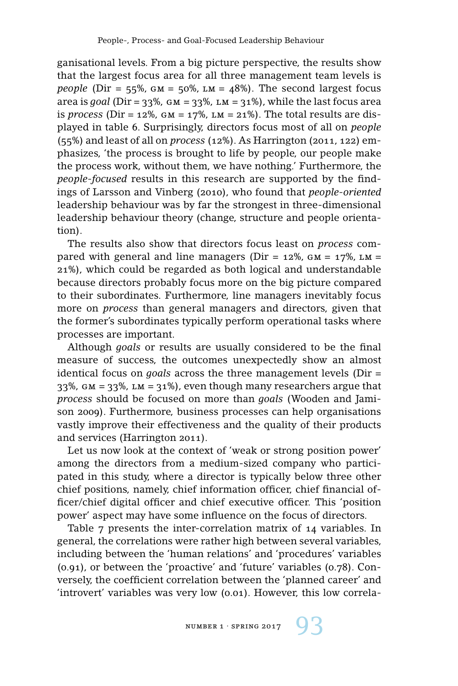ganisational levels. From a big picture perspective, the results show that the largest focus area for all three management team levels is *people* (Dir =  $55\%$ , GM =  $50\%$ , LM =  $48\%$ ). The second largest focus area is *goal* (Dir =  $33\%$ , GM =  $33\%$ , LM =  $31\%$ ), while the last focus area is *process* (Dir =  $12\%$ , GM =  $17\%$ , LM =  $21\%$ ). The total results are displayed in table 6. Surprisingly, directors focus most of all on *people* (55%) and least of all on *process* (12%). As Harrington (2011, 122) emphasizes, 'the process is brought to life by people, our people make the process work, without them, we have nothing.' Furthermore, the *people-focused* results in this research are supported by the findings of Larsson and Vinberg (2010), who found that *people-oriented* leadership behaviour was by far the strongest in three-dimensional leadership behaviour theory (change, structure and people orientation).

The results also show that directors focus least on *process* compared with general and line managers ( $Dir = 12\%$ ,  $GM = 17\%$ ,  $LM =$ 21%), which could be regarded as both logical and understandable because directors probably focus more on the big picture compared to their subordinates. Furthermore, line managers inevitably focus more on *process* than general managers and directors, given that the former's subordinates typically perform operational tasks where processes are important.

Although *goals* or results are usually considered to be the final measure of success, the outcomes unexpectedly show an almost identical focus on *goals* across the three management levels (Dir = 33%,  $GM = 33$ %,  $LM = 31$ %), even though many researchers argue that *process* should be focused on more than *goals* (Wooden and Jamison 2009). Furthermore, business processes can help organisations vastly improve their effectiveness and the quality of their products and services (Harrington 2011).

Let us now look at the context of 'weak or strong position power' among the directors from a medium-sized company who participated in this study, where a director is typically below three other chief positions, namely, chief information officer, chief financial officer/chief digital officer and chief executive officer. This 'position power' aspect may have some influence on the focus of directors.

Table 7 presents the inter-correlation matrix of 14 variables. In general, the correlations were rather high between several variables, including between the 'human relations' and 'procedures' variables (0.91), or between the 'proactive' and 'future' variables (0.78). Conversely, the coefficient correlation between the 'planned career' and 'introvert' variables was very low (0.01). However, this low correla-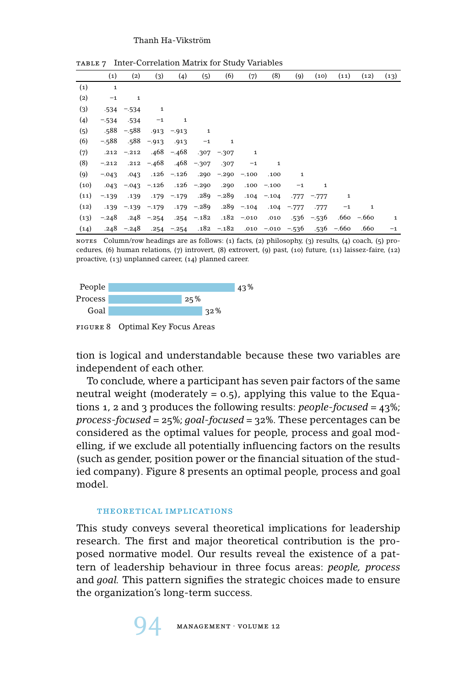|      | $\left( 1\right)$ | (2)           | (3)            | (4)           | (5)                         | (6)           | (7)          | (8)                  | (9)          | (10)          | (11)         | (12)          | (13)         |
|------|-------------------|---------------|----------------|---------------|-----------------------------|---------------|--------------|----------------------|--------------|---------------|--------------|---------------|--------------|
|      |                   |               |                |               |                             |               |              |                      |              |               |              |               |              |
| (1)  | $\mathbf{1}$      |               |                |               |                             |               |              |                      |              |               |              |               |              |
| (2)  | $-1$              | $\mathbf{1}$  |                |               |                             |               |              |                      |              |               |              |               |              |
| (3)  |                   | $-534 - 534$  | $\mathbf{1}$   |               |                             |               |              |                      |              |               |              |               |              |
| (4)  | $-.534$           | $-534$        | $-1$           | $\mathbf{1}$  |                             |               |              |                      |              |               |              |               |              |
| (5)  | .588              | $-.588$       |                | $.913 - .913$ | 1                           |               |              |                      |              |               |              |               |              |
| (6)  | $-.588$           | .588          | $-.913$        | .913          | $-1$                        | $\mathbf{1}$  |              |                      |              |               |              |               |              |
| (7)  | .212              | $-.212$       |                | $.468 - .468$ |                             | $.307 - .307$ | $\mathbf{1}$ |                      |              |               |              |               |              |
| (8)  | $-.212$           |               | $.212 - .468$  |               | $.468 - .307$               | .307          | $-1$         | $\mathbf{1}$         |              |               |              |               |              |
| (9)  | $-.043$           | .043          |                | $.126 - .126$ |                             | $.290 - .290$ | $-.100$      | .100                 | $\mathbf{1}$ |               |              |               |              |
| (10) | .043              |               | $-.043 - .126$ |               | .126 -.290                  | .290          |              | $.100 - .100$        | $-1$         | $\mathbf{1}$  |              |               |              |
| (11) | $-.139$           | .139          |                | $.179 - .179$ |                             | $.289 - .289$ | .104         | $-.104$              |              | $-777 - -777$ | 1            |               |              |
| (12) | .139              |               | $-.139 - .179$ |               | .179 -.289 .289 -.104       |               |              |                      | $.104 - 777$ | .777          | $-1$         | $\mathbf{1}$  |              |
| (13) | $-.248$           | .248          | $-.254$        |               | $.254 - .182$ $.182 - .010$ |               |              | .010                 |              | $-536 - 536$  |              | $.660 - .660$ | $\mathbf{1}$ |
| (14) |                   | $.248 - .248$ |                | $.254 - .254$ |                             | $.182 - .182$ |              | $.010 - .010 - .536$ |              |               | $-536 - 660$ | .660          | $-1$         |

table 7 Inter-Correlation Matrix for Study Variables

notes Column/row headings are as follows: (1) facts, (2) philosophy, (3) results, (4) coach, (5) procedures, (6) human relations, (7) introvert, (8) extrovert, (9) past, (10) future, (11) laissez-faire, (12) proactive, (13) unplanned career, (14) planned career.



figure 8 Optimal Key Focus Areas

tion is logical and understandable because these two variables are independent of each other.

To conclude, where a participant has seven pair factors of the same neutral weight (moderately  $= 0.5$ ), applying this value to the Equations 1, 2 and 3 produces the following results: *people-focused* = 43%; *process-focused* = 25%; *goal-focused* = 32%. These percentages can be considered as the optimal values for people, process and goal modelling, if we exclude all potentially influencing factors on the results (such as gender, position power or the financial situation of the studied company). Figure 8 presents an optimal people, process and goal model.

#### THEORETICAL IMPLICATIONS

This study conveys several theoretical implications for leadership research. The first and major theoretical contribution is the proposed normative model. Our results reveal the existence of a pattern of leadership behaviour in three focus areas: *people, process* and *goal.* This pattern signifies the strategic choices made to ensure the organization's long-term success.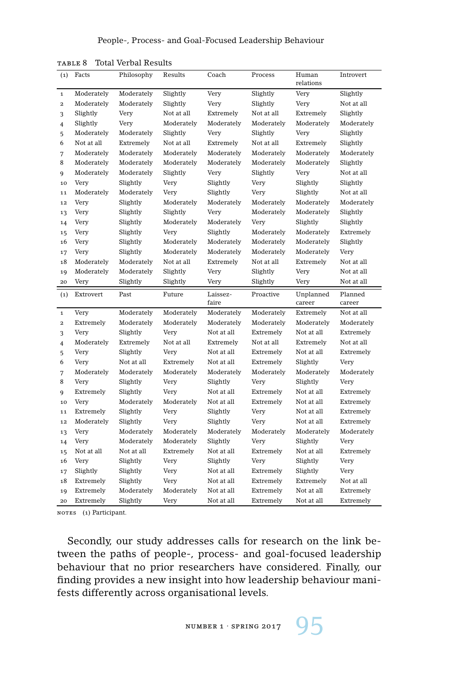| (1)                     | Facts      | Philosophy | Results    | Coach      | Process    | Human      | Introvert  |
|-------------------------|------------|------------|------------|------------|------------|------------|------------|
|                         |            |            |            |            |            | relations  |            |
| $\mathbf 1$             | Moderately | Moderately | Slightly   | Very       | Slightly   | Very       | Slightly   |
| $\overline{\mathbf{2}}$ | Moderately | Moderately | Slightly   | Very       | Slightly   | Very       | Not at all |
| 3                       | Slightly   | Very       | Not at all | Extremely  | Not at all | Extremely  | Slightly   |
| 4                       | Slightly   | Very       | Moderately | Moderately | Moderately | Moderately | Moderately |
| 5                       | Moderately | Moderately | Slightly   | Very       | Slightly   | Very       | Slightly   |
| 6                       | Not at all | Extremely  | Not at all | Extremely  | Not at all | Extremely  | Slightly   |
| 7                       | Moderately | Moderately | Moderately | Moderately | Moderately | Moderately | Moderately |
| 8                       | Moderately | Moderately | Moderately | Moderately | Moderately | Moderately | Slightly   |
| 9                       | Moderately | Moderately | Slightly   | Very       | Slightly   | Very       | Not at all |
| 10                      | Very       | Slightly   | Very       | Slightly   | Very       | Slightly   | Slightly   |
| 11                      | Moderately | Moderately | Very       | Slightly   | Very       | Slightly   | Not at all |
| 12                      | Very       | Slightly   | Moderately | Moderately | Moderately | Moderately | Moderately |
| 13                      | Very       | Slightly   | Slightly   | Very       | Moderately | Moderately | Slightly   |
| 14                      | Very       | Slightly   | Moderately | Moderately | Very       | Slightly   | Slightly   |
| 15                      | Very       | Slightly   | Very       | Slightly   | Moderately | Moderately | Extremely  |
| 16                      | Very       | Slightly   | Moderately | Moderately | Moderately | Moderately | Slightly   |
| 17                      | Very       | Slightly   | Moderately | Moderately | Moderately | Moderately | Very       |
| 18                      | Moderately | Moderately | Not at all | Extremely  | Not at all | Extremely  | Not at all |
| 19                      | Moderately | Moderately | Slightly   | Very       | Slightly   | Very       | Not at all |
| 20                      | Very       | Slightly   | Slightly   | Very       | Slightly   | Very       | Not at all |
|                         |            |            |            |            |            |            |            |
| (1)                     | Extrovert  | Past       | Future     | Laissez-   | Proactive  | Unplanned  | Planned    |
|                         |            |            |            | faire      |            | career     | career     |
| $\mathbf 1$             | Very       | Moderately | Moderately | Moderately | Moderately | Extremely  | Not at all |
| $\mathbf{2}$            | Extremely  | Moderately | Moderately | Moderately | Moderately | Moderately | Moderately |
| 3                       | Very       | Slightly   | Very       | Not at all | Extremely  | Not at all | Extremely  |
| 4                       | Moderately | Extremely  | Not at all | Extremely  | Not at all | Extremely  | Not at all |
| 5                       | Very       | Slightly   | Very       | Not at all | Extremely  | Not at all | Extremely  |
| 6                       | Very       | Not at all | Extremely  | Not at all | Extremely  | Slightly   | Very       |
| 7                       | Moderately | Moderately | Moderately | Moderately | Moderately | Moderately | Moderately |
| 8                       | Very       | Slightly   | Very       | Slightly   | Very       | Slightly   | Very       |
| 9                       | Extremely  | Slightly   | Very       | Not at all | Extremely  | Not at all | Extremely  |
| 10                      | Very       | Moderately | Moderately | Not at all | Extremely  | Not at all | Extremely  |
| 11                      | Extremely  | Slightly   | Very       | Slightly   | Very       | Not at all | Extremely  |
| 12                      | Moderately | Slightly   | Very       | Slightly   | Very       | Not at all | Extremely  |
| 13                      | Very       | Moderately | Moderately | Moderately | Moderately | Moderately | Moderately |
| 14                      | Very       | Moderately | Moderately | Slightly   | Very       | Slightly   | Very       |
| 15                      | Not at all | Not at all | Extremely  | Not at all | Extremely  | Not at all | Extremely  |
| 16                      | Very       | Slightly   | Very       | Slightly   | Very       | Slightly   | Very       |
| 17                      | Slightly   | Slightly   | Very       | Not at all | Extremely  | Slightly   | Very       |
| 18                      | Extremely  | Slightly   | Very       | Not at all | Extremely  | Extremely  | Not at all |
| 19                      | Extremely  | Moderately | Moderately | Not at all | Extremely  | Not at all | Extremely  |

table 8 Total Verbal Results

NOTES (1) Participant.

Secondly, our study addresses calls for research on the link between the paths of people-, process- and goal-focused leadership behaviour that no prior researchers have considered. Finally, our finding provides a new insight into how leadership behaviour manifests differently across organisational levels.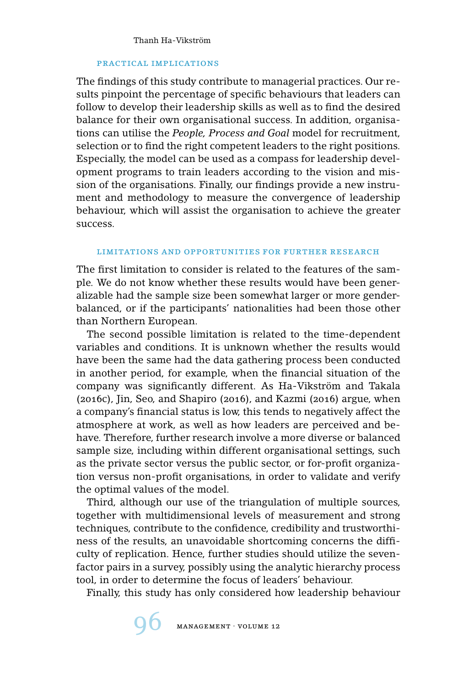# practical implications

The findings of this study contribute to managerial practices. Our results pinpoint the percentage of specific behaviours that leaders can follow to develop their leadership skills as well as to find the desired balance for their own organisational success. In addition, organisations can utilise the *People, Process and Goal* model for recruitment, selection or to find the right competent leaders to the right positions. Especially, the model can be used as a compass for leadership development programs to train leaders according to the vision and mission of the organisations. Finally, our findings provide a new instrument and methodology to measure the convergence of leadership behaviour, which will assist the organisation to achieve the greater success.

#### limitations and opportunities for further research

The first limitation to consider is related to the features of the sample. We do not know whether these results would have been generalizable had the sample size been somewhat larger or more genderbalanced, or if the participants' nationalities had been those other than Northern European.

The second possible limitation is related to the time-dependent variables and conditions. It is unknown whether the results would have been the same had the data gathering process been conducted in another period, for example, when the financial situation of the company was significantly different. As Ha-Vikström and Takala (2016c), Jin, Seo, and Shapiro (2016), and Kazmi (2016) argue, when a company's financial status is low, this tends to negatively affect the atmosphere at work, as well as how leaders are perceived and behave. Therefore, further research involve a more diverse or balanced sample size, including within different organisational settings, such as the private sector versus the public sector, or for-profit organization versus non-profit organisations, in order to validate and verify the optimal values of the model.

Third, although our use of the triangulation of multiple sources, together with multidimensional levels of measurement and strong techniques, contribute to the confidence, credibility and trustworthiness of the results, an unavoidable shortcoming concerns the difficulty of replication. Hence, further studies should utilize the sevenfactor pairs in a survey, possibly using the analytic hierarchy process tool, in order to determine the focus of leaders' behaviour.

Finally, this study has only considered how leadership behaviour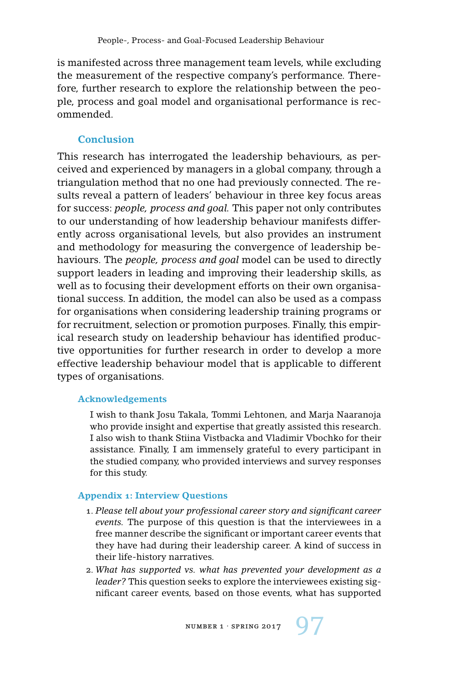is manifested across three management team levels, while excluding the measurement of the respective company's performance. Therefore, further research to explore the relationship between the people, process and goal model and organisational performance is recommended.

# **Conclusion**

This research has interrogated the leadership behaviours, as perceived and experienced by managers in a global company, through a triangulation method that no one had previously connected. The results reveal a pattern of leaders' behaviour in three key focus areas for success: *people, process and goal.* This paper not only contributes to our understanding of how leadership behaviour manifests differently across organisational levels, but also provides an instrument and methodology for measuring the convergence of leadership behaviours. The *people, process and goal* model can be used to directly support leaders in leading and improving their leadership skills, as well as to focusing their development efforts on their own organisational success. In addition, the model can also be used as a compass for organisations when considering leadership training programs or for recruitment, selection or promotion purposes. Finally, this empirical research study on leadership behaviour has identified productive opportunities for further research in order to develop a more effective leadership behaviour model that is applicable to different types of organisations.

## **Acknowledgements**

I wish to thank Josu Takala, Tommi Lehtonen, and Marja Naaranoja who provide insight and expertise that greatly assisted this research. I also wish to thank Stiina Vistbacka and Vladimir Vbochko for their assistance. Finally, I am immensely grateful to every participant in the studied company, who provided interviews and survey responses for this study.

## **Appendix 1: Interview Questions**

- 1. *Please tell about your professional career story and significant career events.* The purpose of this question is that the interviewees in a free manner describe the significant or important career events that they have had during their leadership career. A kind of success in their life-history narratives.
- 2. *What has supported vs. what has prevented your development as a leader?* This question seeks to explore the interviewees existing significant career events, based on those events, what has supported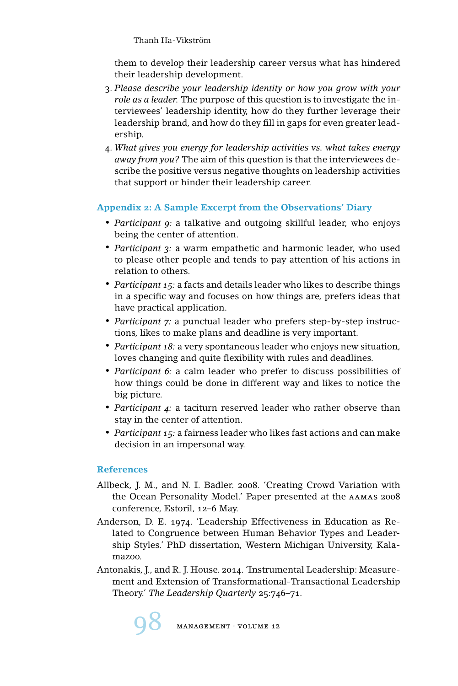them to develop their leadership career versus what has hindered their leadership development.

- 3. *Please describe your leadership identity or how you grow with your role as a leader.* The purpose of this question is to investigate the interviewees' leadership identity, how do they further leverage their leadership brand, and how do they fill in gaps for even greater leadership.
- 4. *What gives you energy for leadership activities vs. what takes energy away from you?* The aim of this question is that the interviewees describe the positive versus negative thoughts on leadership activities that support or hinder their leadership career.

# **Appendix 2: A Sample Excerpt from the Observations' Diary**

- *Participant 9:* a talkative and outgoing skillful leader, who enjoys being the center of attention.
- *Participant 3:* a warm empathetic and harmonic leader, who used to please other people and tends to pay attention of his actions in relation to others.
- *Participant 15:* a facts and details leader who likes to describe things in a specific way and focuses on how things are, prefers ideas that have practical application.
- *Participant 7:* a punctual leader who prefers step-by-step instructions, likes to make plans and deadline is very important.
- *Participant 18:* a very spontaneous leader who enjoys new situation, loves changing and quite flexibility with rules and deadlines.
- *Participant 6:* a calm leader who prefer to discuss possibilities of how things could be done in different way and likes to notice the big picture.
- *Participant 4:* a taciturn reserved leader who rather observe than stay in the center of attention.
- *Participant 15:* a fairness leader who likes fast actions and can make decision in an impersonal way.

# **References**

- Allbeck, J. M., and N. I. Badler. 2008. 'Creating Crowd Variation with the Ocean Personality Model.' Paper presented at the aamas 2008 conference, Estoril, 12–6 May.
- Anderson, D. E. 1974. 'Leadership Effectiveness in Education as Related to Congruence between Human Behavior Types and Leadership Styles.' PhD dissertation, Western Michigan University, Kalamazoo.
- Antonakis, J., and R. J. House. 2014. 'Instrumental Leadership: Measurement and Extension of Transformational-Transactional Leadership Theory.' *The Leadership Quarterly* 25:746–71.

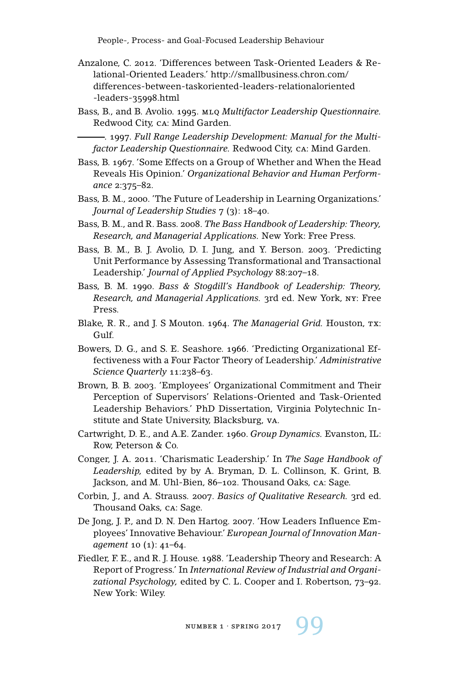People-, Process- and Goal-Focused Leadership Behaviour

- Anzalone, C. 2012. 'Differences between Task-Oriented Leaders & Relational-Oriented Leaders.' http://smallbusiness.chron.com/ differences-between-taskoriented-leaders-relationaloriented -leaders-35998.html
- Bass, B., and B. Avolio. 1995. mlq *Multifactor Leadership Questionnaire.* Redwood City, ca: Mind Garden.

. 1997. *Full Range Leadership Development: Manual for the Multifactor Leadership Questionnaire.* Redwood City, ca: Mind Garden.

- Bass, B. 1967. 'Some Effects on a Group of Whether and When the Head Reveals His Opinion.' *Organizational Behavior and Human Performance* 2:375–82.
- Bass, B. M., 2000. 'The Future of Leadership in Learning Organizations.' *Journal of Leadership Studies* 7 (3): 18–40.
- Bass, B. M., and R. Bass. 2008. *The Bass Handbook of Leadership: Theory, Research, and Managerial Applications.* New York: Free Press.
- Bass, B. M., B. J. Avolio, D. I. Jung, and Y. Berson. 2003. 'Predicting Unit Performance by Assessing Transformational and Transactional Leadership.' *Journal of Applied Psychology* 88:207–18.
- Bass, B. M. 1990. *Bass & Stogdill's Handbook of Leadership: Theory, Research, and Managerial Applications.* 3rd ed. New York, ny: Free Press.
- Blake, R. R., and J. S Mouton. 1964. *The Managerial Grid.* Houston, TX: Gulf.
- Bowers, D. G., and S. E. Seashore. 1966. 'Predicting Organizational Effectiveness with a Four Factor Theory of Leadership.' *Administrative Science Quarterly* 11:238–63.
- Brown, B. B. 2003. 'Employees' Organizational Commitment and Their Perception of Supervisors' Relations-Oriented and Task-Oriented Leadership Behaviors.' PhD Dissertation, Virginia Polytechnic Institute and State University, Blacksburg, va.
- Cartwright, D. E., and A.E. Zander. 1960. *Group Dynamics.* Evanston, IL: Row, Peterson & Co.
- Conger, J. A. 2011. 'Charismatic Leadership.' In *The Sage Handbook of Leadership,* edited by by A. Bryman, D. L. Collinson, K. Grint, B. Jackson, and M. Uhl-Bien, 86–102. Thousand Oaks, ca: Sage.
- Corbin, J., and A. Strauss. 2007. *Basics of Qualitative Research.* 3rd ed. Thousand Oaks, ca: Sage.
- De Jong, J. P., and D. N. Den Hartog. 2007. 'How Leaders Influence Employees' Innovative Behaviour.' *European Journal of Innovation Management* 10 (1): 41–64.
- Fiedler, F. E., and R. J. House. 1988. 'Leadership Theory and Research: A Report of Progress.' In *International Review of Industrial and Organizational Psychology,* edited by C. L. Cooper and I. Robertson, 73–92. New York: Wiley.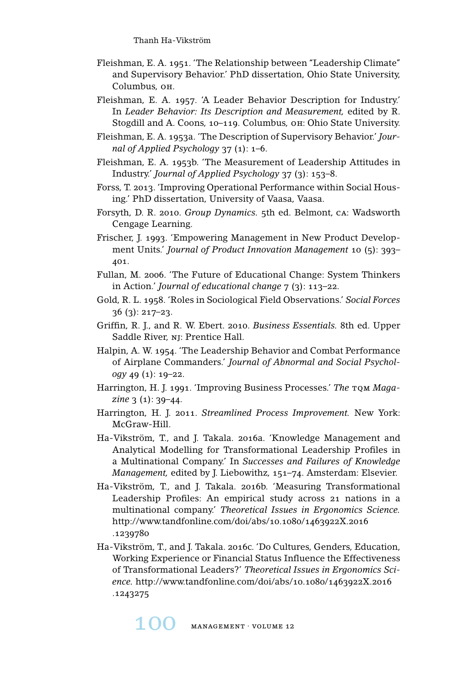- Fleishman, E. A. 1951. 'The Relationship between "Leadership Climate" and Supervisory Behavior.' PhD dissertation, Ohio State University, Columbus, oh.
- Fleishman, E. A. 1957. 'A Leader Behavior Description for Industry.' In *Leader Behavior: Its Description and Measurement,* edited by R. Stogdill and A. Coons, 10–119. Columbus, oh: Ohio State University.
- Fleishman, E. A. 1953a. 'The Description of Supervisory Behavior.' *Journal of Applied Psychology* 37 (1): 1–6.
- Fleishman, E. A. 1953b. 'The Measurement of Leadership Attitudes in Industry.' *Journal of Applied Psychology* 37 (3): 153–8.
- Forss, T. 2013. 'Improving Operational Performance within Social Housing.' PhD dissertation, University of Vaasa, Vaasa.
- Forsyth, D. R. 2010. *Group Dynamics.* 5th ed. Belmont, ca: Wadsworth Cengage Learning.
- Frischer, J. 1993. 'Empowering Management in New Product Development Units.' *Journal of Product Innovation Management* 10 (5): 393– 401.
- Fullan, M. 2006. 'The Future of Educational Change: System Thinkers in Action.' *Journal of educational change* 7 (3): 113–22.
- Gold, R. L. 1958. 'Roles in Sociological Field Observations.' *Social Forces* 36 (3): 217–23.
- Griffin, R. J., and R. W. Ebert. 2010. *Business Essentials.* 8th ed. Upper Saddle River, nj: Prentice Hall.
- Halpin, A. W. 1954. 'The Leadership Behavior and Combat Performance of Airplane Commanders.' *Journal of Abnormal and Social Psychology* 49 (1): 19–22.
- Harrington, H. J. 1991. 'Improving Business Processes.' The TQM Maga*zine* 3 (1): 39–44.
- Harrington, H. J. 2011. *Streamlined Process Improvement.* New York: McGraw-Hill.
- Ha-Vikström, T., and J. Takala. 2016a. 'Knowledge Management and Analytical Modelling for Transformational Leadership Profiles in a Multinational Company.' In *Successes and Failures of Knowledge Management,* edited by J. Liebowithz, 151–74. Amsterdam: Elsevier.
- Ha-Vikström, T., and J. Takala. 2016b. 'Measuring Transformational Leadership Profiles: An empirical study across 21 nations in a multinational company.' *Theoretical Issues in Ergonomics Science.* http://www.tandfonline.com/doi/abs/10.1080/1463922X.2016 .1239780
- Ha-Vikström, T., and J. Takala. 2016c. 'Do Cultures, Genders, Education, Working Experience or Financial Status Influence the Effectiveness of Transformational Leaders?' *Theoretical Issues in Ergonomics Science.* http://www.tandfonline.com/doi/abs/10.1080/1463922X.2016 .1243275

 $MANAGEMENT \cdot VOLUME 12$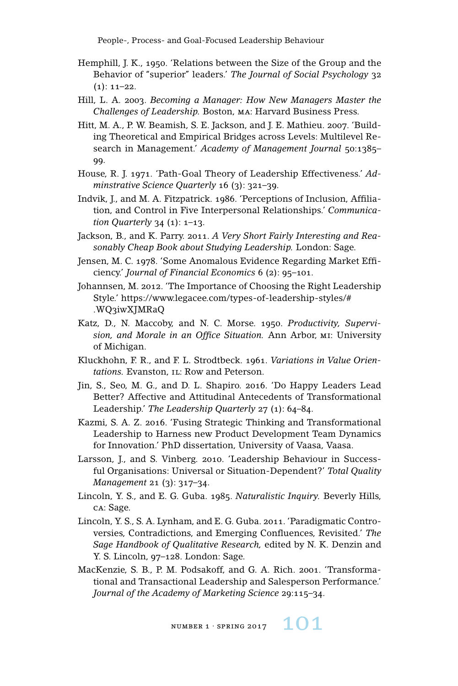People-, Process- and Goal-Focused Leadership Behaviour

- Hemphill, J. K., 1950. 'Relations between the Size of the Group and the Behavior of "superior" leaders.' *The Journal of Social Psychology* 32  $(1): 11-22.$
- Hill, L. A. 2003. *Becoming a Manager: How New Managers Master the Challenges of Leadership.* Boston, ma: Harvard Business Press.
- Hitt, M. A., P. W. Beamish, S. E. Jackson, and J. E. Mathieu. 2007. 'Building Theoretical and Empirical Bridges across Levels: Multilevel Research in Management.' *Academy of Management Journal* 50:1385– 99.
- House, R. J. 1971. 'Path-Goal Theory of Leadership Effectiveness.' *Adminstrative Science Quarterly* 16 (3): 321–39.
- Indvik, J., and M. A. Fitzpatrick. 1986. 'Perceptions of Inclusion, Affiliation, and Control in Five Interpersonal Relationships.' *Communication Quarterly* 34 (1): 1–13.
- Jackson, B., and K. Parry. 2011. *A Very Short Fairly Interesting and Reasonably Cheap Book about Studying Leadership.* London: Sage.
- Jensen, M. C. 1978. 'Some Anomalous Evidence Regarding Market Efficiency.' *Journal of Financial Economics* 6 (2): 95–101.
- Johannsen, M. 2012. 'The Importance of Choosing the Right Leadership Style.' https://www.legacee.com/types-of-leadership-styles/# .WQ3iwXJMRaQ
- Katz, D., N. Maccoby, and N. C. Morse. 1950. *Productivity, Supervision, and Morale in an Office Situation.* Ann Arbor, mi: University of Michigan.
- Kluckhohn, F. R., and F. L. Strodtbeck. 1961. *Variations in Value Orien*tations. Evanston, IL: Row and Peterson.
- Jin, S., Seo, M. G., and D. L. Shapiro. 2016. 'Do Happy Leaders Lead Better? Affective and Attitudinal Antecedents of Transformational Leadership.' *The Leadership Quarterly* 27 (1): 64–84.
- Kazmi, S. A. Z. 2016. 'Fusing Strategic Thinking and Transformational Leadership to Harness new Product Development Team Dynamics for Innovation.' PhD dissertation, University of Vaasa, Vaasa.
- Larsson, J., and S. Vinberg. 2010. 'Leadership Behaviour in Successful Organisations: Universal or Situation-Dependent?' *Total Quality Management* 21 (3): 317–34.
- Lincoln, Y. S., and E. G. Guba. 1985. *Naturalistic Inquiry.* Beverly Hills, ca: Sage.
- Lincoln, Y. S., S. A. Lynham, and E. G. Guba. 2011. 'Paradigmatic Controversies, Contradictions, and Emerging Confluences, Revisited.' *The Sage Handbook of Qualitative Research,* edited by N. K. Denzin and Y. S. Lincoln, 97–128. London: Sage.
- MacKenzie, S. B., P. M. Podsakoff, and G. A. Rich. 2001. 'Transformational and Transactional Leadership and Salesperson Performance.' *Journal of the Academy of Marketing Science* 29:115–34.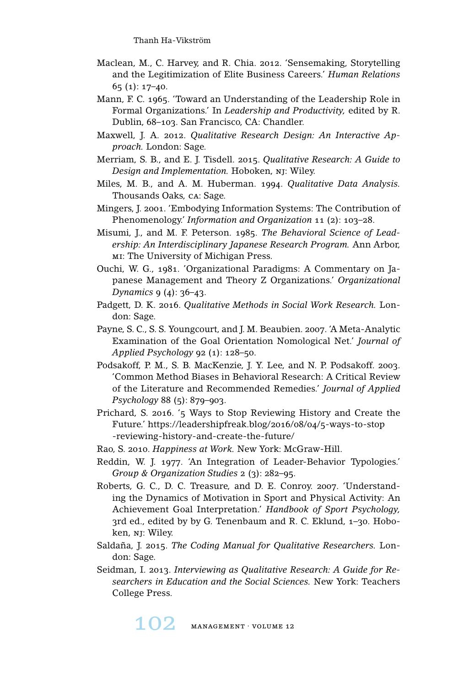- Maclean, M., C. Harvey, and R. Chia. 2012. 'Sensemaking, Storytelling and the Legitimization of Elite Business Careers.' *Human Relations* 65 (1): 17–40.
- Mann, F. C. 1965. 'Toward an Understanding of the Leadership Role in Formal Organizations.' In *Leadership and Productivity,* edited by R. Dublin, 68–103. San Francisco, CA: Chandler.
- Maxwell, J. A. 2012. *Qualitative Research Design: An Interactive Approach.* London: Sage.
- Merriam, S. B., and E. J. Tisdell. 2015. *Qualitative Research: A Guide to Design and Implementation.* Hoboken, nj: Wiley.
- Miles, M. B., and A. M. Huberman. 1994. *Qualitative Data Analysis.* Thousands Oaks, ca: Sage.
- Mingers, J. 2001. 'Embodying Information Systems: The Contribution of Phenomenology.' *Information and Organization* 11 (2): 103–28.
- Misumi, J., and M. F. Peterson. 1985. *The Behavioral Science of Leadership: An Interdisciplinary Japanese Research Program.* Ann Arbor, MI: The University of Michigan Press.
- Ouchi, W. G., 1981. 'Organizational Paradigms: A Commentary on Japanese Management and Theory Z Organizations.' *Organizational Dynamics* 9 (4): 36–43.
- Padgett, D. K. 2016. *Qualitative Methods in Social Work Research.* London: Sage.
- Payne, S. C., S. S. Youngcourt, and J. M. Beaubien. 2007. 'A Meta-Analytic Examination of the Goal Orientation Nomological Net.' *Journal of Applied Psychology* 92 (1): 128–50.
- Podsakoff, P. M., S. B. MacKenzie, J. Y. Lee, and N. P. Podsakoff. 2003. 'Common Method Biases in Behavioral Research: A Critical Review of the Literature and Recommended Remedies.' *Journal of Applied Psychology* 88 (5): 879–903.
- Prichard, S. 2016. '5 Ways to Stop Reviewing History and Create the Future.' https://leadershipfreak.blog/2016/08/04/5-ways-to-stop -reviewing-history-and-create-the-future/
- Rao, S. 2010. *Happiness at Work.* New York: McGraw-Hill.
- Reddin, W. J. 1977. 'An Integration of Leader-Behavior Typologies.' *Group & Organization Studies* 2 (3): 282–95.
- Roberts, G. C., D. C. Treasure, and D. E. Conroy. 2007. 'Understanding the Dynamics of Motivation in Sport and Physical Activity: An Achievement Goal Interpretation.' *Handbook of Sport Psychology,* 3rd ed., edited by by G. Tenenbaum and R. C. Eklund, 1–30. Hoboken, nj: Wiley.
- Saldaña, J. 2015. *The Coding Manual for Qualitative Researchers.* London: Sage.
- Seidman, I. 2013. *Interviewing as Qualitative Research: A Guide for Researchers in Education and the Social Sciences.* New York: Teachers College Press.

102 MANAGEMENT · VOLUME 12